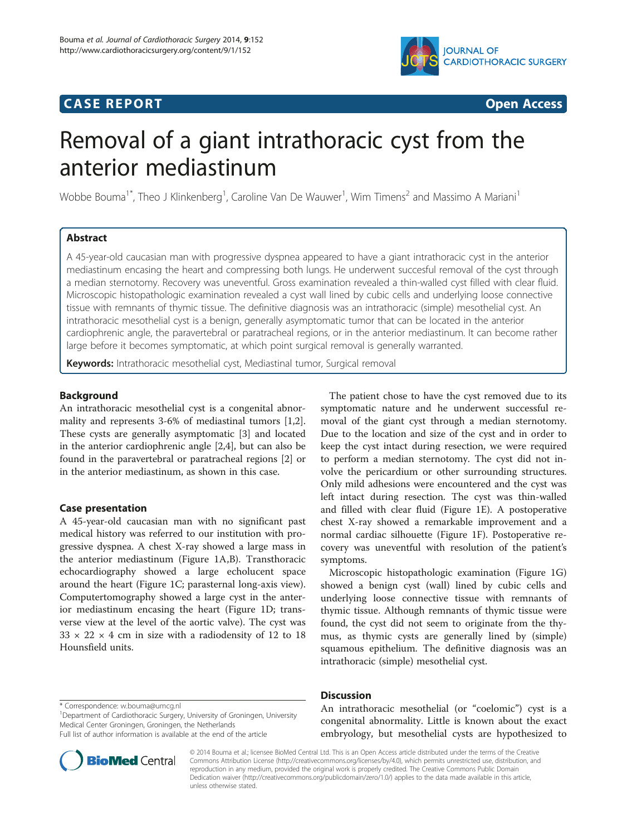## **CASE REPORT CASE REPORT CASE REPORT**



# Removal of a giant intrathoracic cyst from the anterior mediastinum

Wobbe Bouma<sup>1\*</sup>, Theo J Klinkenberg<sup>1</sup>, Caroline Van De Wauwer<sup>1</sup>, Wim Timens<sup>2</sup> and Massimo A Mariani<sup>1</sup>

## Abstract

A 45-year-old caucasian man with progressive dyspnea appeared to have a giant intrathoracic cyst in the anterior mediastinum encasing the heart and compressing both lungs. He underwent succesful removal of the cyst through a median sternotomy. Recovery was uneventful. Gross examination revealed a thin-walled cyst filled with clear fluid. Microscopic histopathologic examination revealed a cyst wall lined by cubic cells and underlying loose connective tissue with remnants of thymic tissue. The definitive diagnosis was an intrathoracic (simple) mesothelial cyst. An intrathoracic mesothelial cyst is a benign, generally asymptomatic tumor that can be located in the anterior cardiophrenic angle, the paravertebral or paratracheal regions, or in the anterior mediastinum. It can become rather large before it becomes symptomatic, at which point surgical removal is generally warranted.

Keywords: Intrathoracic mesothelial cyst, Mediastinal tumor, Surgical removal

## Background

An intrathoracic mesothelial cyst is a congenital abnormality and represents 3-6% of mediastinal tumors [\[1,2](#page-2-0)]. These cysts are generally asymptomatic [\[3\]](#page-2-0) and located in the anterior cardiophrenic angle [\[2,4](#page-2-0)], but can also be found in the paravertebral or paratracheal regions [\[2](#page-2-0)] or in the anterior mediastinum, as shown in this case.

## Case presentation

A 45-year-old caucasian man with no significant past medical history was referred to our institution with progressive dyspnea. A chest X-ray showed a large mass in the anterior mediastinum (Figure [1](#page-1-0)A,B). Transthoracic echocardiography showed a large echolucent space around the heart (Figure [1](#page-1-0)C; parasternal long-axis view). Computertomography showed a large cyst in the anterior mediastinum encasing the heart (Figure [1](#page-1-0)D; transverse view at the level of the aortic valve). The cyst was  $33 \times 22 \times 4$  cm in size with a radiodensity of 12 to 18 Hounsfield units.

The patient chose to have the cyst removed due to its symptomatic nature and he underwent successful removal of the giant cyst through a median sternotomy. Due to the location and size of the cyst and in order to keep the cyst intact during resection, we were required to perform a median sternotomy. The cyst did not involve the pericardium or other surrounding structures. Only mild adhesions were encountered and the cyst was left intact during resection. The cyst was thin-walled and filled with clear fluid (Figure [1E](#page-1-0)). A postoperative chest X-ray showed a remarkable improvement and a normal cardiac silhouette (Figure [1](#page-1-0)F). Postoperative recovery was uneventful with resolution of the patient's symptoms.

Microscopic histopathologic examination (Figure [1](#page-1-0)G) showed a benign cyst (wall) lined by cubic cells and underlying loose connective tissue with remnants of thymic tissue. Although remnants of thymic tissue were found, the cyst did not seem to originate from the thymus, as thymic cysts are generally lined by (simple) squamous epithelium. The definitive diagnosis was an intrathoracic (simple) mesothelial cyst.

<sup>1</sup>Department of Cardiothoracic Surgery, University of Groningen, University Medical Center Groningen, Groningen, the Netherlands

Full list of author information is available at the end of the article



## **Discussion**

An intrathoracic mesothelial (or "coelomic") cyst is a congenital abnormality. Little is known about the exact embryology, but mesothelial cysts are hypothesized to

© 2014 Bouma et al.; licensee BioMed Central Ltd. This is an Open Access article distributed under the terms of the Creative Commons Attribution License [\(http://creativecommons.org/licenses/by/4.0\)](http://creativecommons.org/licenses/by/4.0), which permits unrestricted use, distribution, and reproduction in any medium, provided the original work is properly credited. The Creative Commons Public Domain Dedication waiver [\(http://creativecommons.org/publicdomain/zero/1.0/](http://creativecommons.org/publicdomain/zero/1.0/)) applies to the data made available in this article, unless otherwise stated.

<sup>\*</sup> Correspondence: [w.bouma@umcg.nl](mailto:w.bouma@umcg.nl) <sup>1</sup>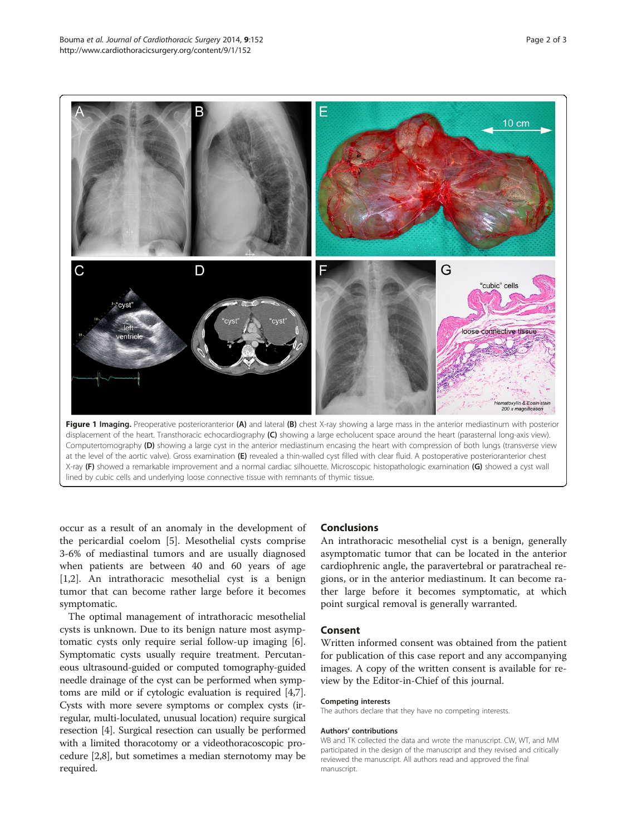<span id="page-1-0"></span>

at the level of the aortic valve). Gross examination (E) revealed a thin-walled cyst filled with clear fluid. A postoperative posterioranterior chest X-ray (F) showed a remarkable improvement and a normal cardiac silhouette. Microscopic histopathologic examination (G) showed a cyst wall lined by cubic cells and underlying loose connective tissue with remnants of thymic tissue.

occur as a result of an anomaly in the development of the pericardial coelom [[5\]](#page-2-0). Mesothelial cysts comprise 3-6% of mediastinal tumors and are usually diagnosed when patients are between 40 and 60 years of age [[1,2\]](#page-2-0). An intrathoracic mesothelial cyst is a benign tumor that can become rather large before it becomes symptomatic.

The optimal management of intrathoracic mesothelial cysts is unknown. Due to its benign nature most asymptomatic cysts only require serial follow-up imaging [\[6](#page-2-0)]. Symptomatic cysts usually require treatment. Percutaneous ultrasound-guided or computed tomography-guided needle drainage of the cyst can be performed when symptoms are mild or if cytologic evaluation is required [[4](#page-2-0),[7](#page-2-0)]. Cysts with more severe symptoms or complex cysts (irregular, multi-loculated, unusual location) require surgical resection [\[4](#page-2-0)]. Surgical resection can usually be performed with a limited thoracotomy or a videothoracoscopic procedure [[2,8](#page-2-0)], but sometimes a median sternotomy may be required.

## Conclusions

An intrathoracic mesothelial cyst is a benign, generally asymptomatic tumor that can be located in the anterior cardiophrenic angle, the paravertebral or paratracheal regions, or in the anterior mediastinum. It can become rather large before it becomes symptomatic, at which point surgical removal is generally warranted.

## Consent

Written informed consent was obtained from the patient for publication of this case report and any accompanying images. A copy of the written consent is available for review by the Editor-in-Chief of this journal.

#### Competing interests

The authors declare that they have no competing interests.

#### Authors' contributions

WB and TK collected the data and wrote the manuscript. CW, WT, and MM participated in the design of the manuscript and they revised and critically reviewed the manuscript. All authors read and approved the final manuscript.